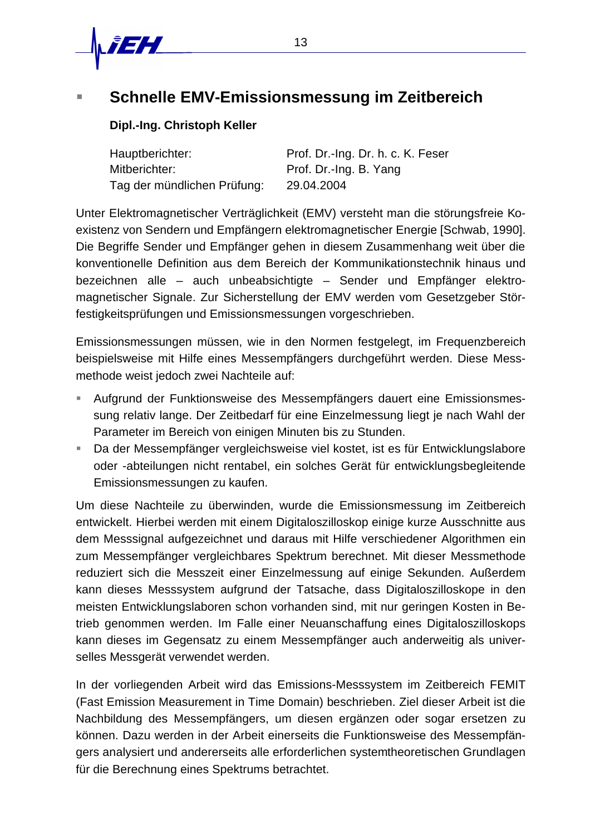

# ß **Schnelle EMV-Emissionsmessung im Zeitbereich**

# **Dipl.-Ing. Christoph Keller**

| Hauptberichter:             | Prof. Dr.-Ing. Dr. h. c. K. Feser |
|-----------------------------|-----------------------------------|
| Mitberichter:               | Prof. Dr.-Ing. B. Yang            |
| Tag der mündlichen Prüfung: | 29.04.2004                        |

Unter Elektromagnetischer Verträglichkeit (EMV) versteht man die störungsfreie Koexistenz von Sendern und Empfängern elektromagnetischer Energie [Schwab, 1990]. Die Begriffe Sender und Empfänger gehen in diesem Zusammenhang weit über die konventionelle Definition aus dem Bereich der Kommunikationstechnik hinaus und bezeichnen alle – auch unbeabsichtigte – Sender und Empfänger elektromagnetischer Signale. Zur Sicherstellung der EMV werden vom Gesetzgeber Störfestigkeitsprüfungen und Emissionsmessungen vorgeschrieben.

Emissionsmessungen müssen, wie in den Normen festgelegt, im Frequenzbereich beispielsweise mit Hilfe eines Messempfängers durchgeführt werden. Diese Messmethode weist jedoch zwei Nachteile auf:

- ß Aufgrund der Funktionsweise des Messempfängers dauert eine Emissionsmessung relativ lange. Der Zeitbedarf für eine Einzelmessung liegt je nach Wahl der Parameter im Bereich von einigen Minuten bis zu Stunden.
- ß Da der Messempfänger vergleichsweise viel kostet, ist es für Entwicklungslabore oder -abteilungen nicht rentabel, ein solches Gerät für entwicklungsbegleitende Emissionsmessungen zu kaufen.

Um diese Nachteile zu überwinden, wurde die Emissionsmessung im Zeitbereich entwickelt. Hierbei werden mit einem Digitaloszilloskop einige kurze Ausschnitte aus dem Messsignal aufgezeichnet und daraus mit Hilfe verschiedener Algorithmen ein zum Messempfänger vergleichbares Spektrum berechnet. Mit dieser Messmethode reduziert sich die Messzeit einer Einzelmessung auf einige Sekunden. Außerdem kann dieses Messsystem aufgrund der Tatsache, dass Digitaloszilloskope in den meisten Entwicklungslaboren schon vorhanden sind, mit nur geringen Kosten in Betrieb genommen werden. Im Falle einer Neuanschaffung eines Digitaloszilloskops kann dieses im Gegensatz zu einem Messempfänger auch anderweitig als universelles Messgerät verwendet werden.

In der vorliegenden Arbeit wird das Emissions-Messsystem im Zeitbereich FEMIT (Fast Emission Measurement in Time Domain) beschrieben. Ziel dieser Arbeit ist die Nachbildung des Messempfängers, um diesen ergänzen oder sogar ersetzen zu können. Dazu werden in der Arbeit einerseits die Funktionsweise des Messempfängers analysiert und andererseits alle erforderlichen systemtheoretischen Grundlagen für die Berechnung eines Spektrums betrachtet.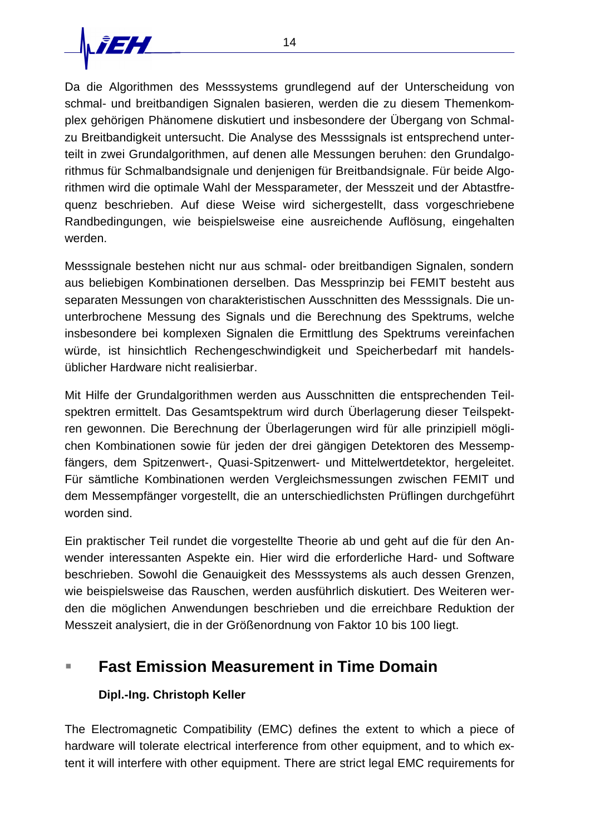

Da die Algorithmen des Messsystems grundlegend auf der Unterscheidung von schmal- und breitbandigen Signalen basieren, werden die zu diesem Themenkomplex gehörigen Phänomene diskutiert und insbesondere der Übergang von Schmalzu Breitbandigkeit untersucht. Die Analyse des Messsignals ist entsprechend unterteilt in zwei Grundalgorithmen, auf denen alle Messungen beruhen: den Grundalgorithmus für Schmalbandsignale und denjenigen für Breitbandsignale. Für beide Algorithmen wird die optimale Wahl der Messparameter, der Messzeit und der Abtastfrequenz beschrieben. Auf diese Weise wird sichergestellt, dass vorgeschriebene Randbedingungen, wie beispielsweise eine ausreichende Auflösung, eingehalten werden.

Messsignale bestehen nicht nur aus schmal- oder breitbandigen Signalen, sondern aus beliebigen Kombinationen derselben. Das Messprinzip bei FEMIT besteht aus separaten Messungen von charakteristischen Ausschnitten des Messsignals. Die ununterbrochene Messung des Signals und die Berechnung des Spektrums, welche insbesondere bei komplexen Signalen die Ermittlung des Spektrums vereinfachen würde, ist hinsichtlich Rechengeschwindigkeit und Speicherbedarf mit handelsüblicher Hardware nicht realisierbar.

Mit Hilfe der Grundalgorithmen werden aus Ausschnitten die entsprechenden Teilspektren ermittelt. Das Gesamtspektrum wird durch Überlagerung dieser Teilspektren gewonnen. Die Berechnung der Überlagerungen wird für alle prinzipiell möglichen Kombinationen sowie für jeden der drei gängigen Detektoren des Messempfängers, dem Spitzenwert-, Quasi-Spitzenwert- und Mittelwertdetektor, hergeleitet. Für sämtliche Kombinationen werden Vergleichsmessungen zwischen FEMIT und dem Messempfänger vorgestellt, die an unterschiedlichsten Prüflingen durchgeführt worden sind.

Ein praktischer Teil rundet die vorgestellte Theorie ab und geht auf die für den Anwender interessanten Aspekte ein. Hier wird die erforderliche Hard- und Software beschrieben. Sowohl die Genauigkeit des Messsystems als auch dessen Grenzen, wie beispielsweise das Rauschen, werden ausführlich diskutiert. Des Weiteren werden die möglichen Anwendungen beschrieben und die erreichbare Reduktion der Messzeit analysiert, die in der Größenordnung von Faktor 10 bis 100 liegt.

# ß **Fast Emission Measurement in Time Domain**

# **Dipl.-Ing. Christoph Keller**

The Electromagnetic Compatibility (EMC) defines the extent to which a piece of hardware will tolerate electrical interference from other equipment, and to which extent it will interfere with other equipment. There are strict legal EMC requirements for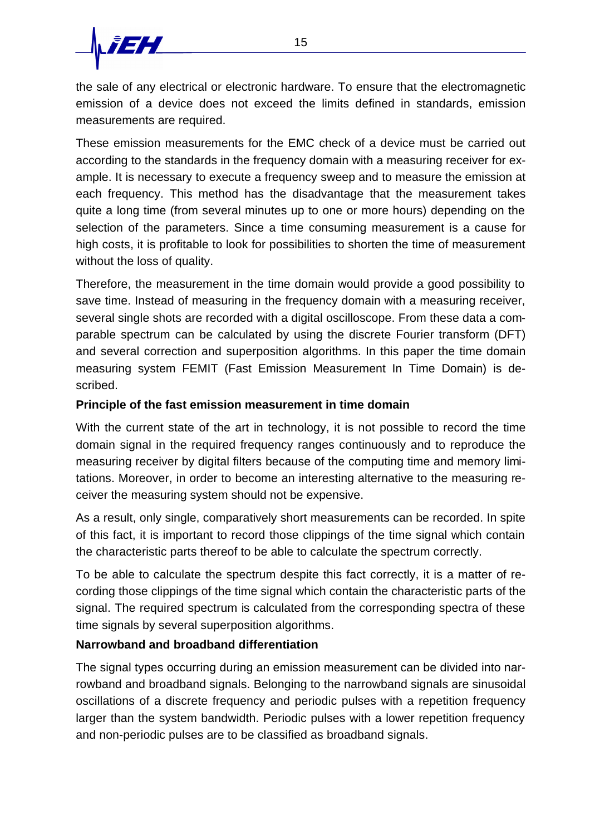

the sale of any electrical or electronic hardware. To ensure that the electromagnetic emission of a device does not exceed the limits defined in standards, emission measurements are required.

These emission measurements for the EMC check of a device must be carried out according to the standards in the frequency domain with a measuring receiver for example. It is necessary to execute a frequency sweep and to measure the emission at each frequency. This method has the disadvantage that the measurement takes quite a long time (from several minutes up to one or more hours) depending on the selection of the parameters. Since a time consuming measurement is a cause for high costs, it is profitable to look for possibilities to shorten the time of measurement without the loss of quality.

Therefore, the measurement in the time domain would provide a good possibility to save time. Instead of measuring in the frequency domain with a measuring receiver, several single shots are recorded with a digital oscilloscope. From these data a comparable spectrum can be calculated by using the discrete Fourier transform (DFT) and several correction and superposition algorithms. In this paper the time domain measuring system FEMIT (Fast Emission Measurement In Time Domain) is described.

#### **Principle of the fast emission measurement in time domain**

With the current state of the art in technology, it is not possible to record the time domain signal in the required frequency ranges continuously and to reproduce the measuring receiver by digital filters because of the computing time and memory limitations. Moreover, in order to become an interesting alternative to the measuring receiver the measuring system should not be expensive.

As a result, only single, comparatively short measurements can be recorded. In spite of this fact, it is important to record those clippings of the time signal which contain the characteristic parts thereof to be able to calculate the spectrum correctly.

To be able to calculate the spectrum despite this fact correctly, it is a matter of recording those clippings of the time signal which contain the characteristic parts of the signal. The required spectrum is calculated from the corresponding spectra of these time signals by several superposition algorithms.

### **Narrowband and broadband differentiation**

The signal types occurring during an emission measurement can be divided into narrowband and broadband signals. Belonging to the narrowband signals are sinusoidal oscillations of a discrete frequency and periodic pulses with a repetition frequency larger than the system bandwidth. Periodic pulses with a lower repetition frequency and non-periodic pulses are to be classified as broadband signals.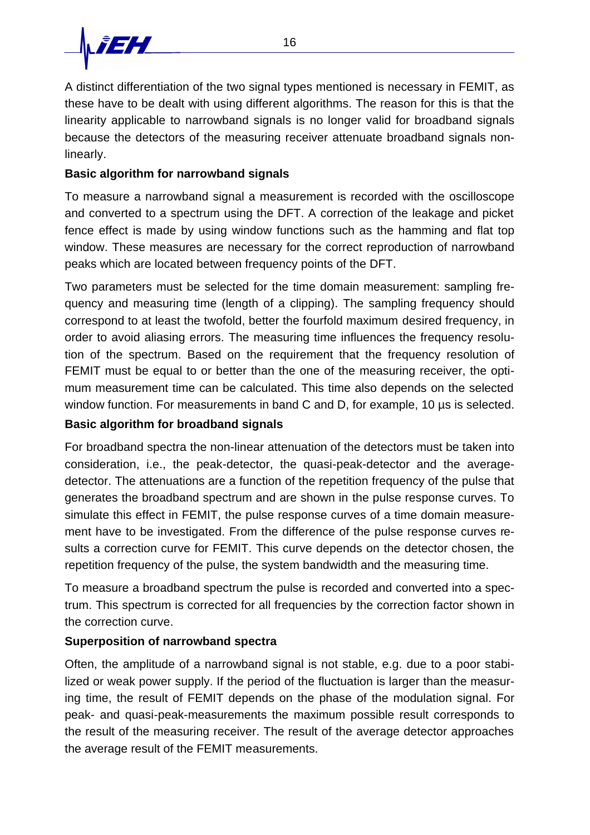

A distinct differentiation of the two signal types mentioned is necessary in FEMIT, as these have to be dealt with using different algorithms. The reason for this is that the linearity applicable to narrowband signals is no longer valid for broadband signals because the detectors of the measuring receiver attenuate broadband signals nonlinearly.

# **Basic algorithm for narrowband signals**

To measure a narrowband signal a measurement is recorded with the oscilloscope and converted to a spectrum using the DFT. A correction of the leakage and picket fence effect is made by using window functions such as the hamming and flat top window. These measures are necessary for the correct reproduction of narrowband peaks which are located between frequency points of the DFT.

Two parameters must be selected for the time domain measurement: sampling frequency and measuring time (length of a clipping). The sampling frequency should correspond to at least the twofold, better the fourfold maximum desired frequency, in order to avoid aliasing errors. The measuring time influences the frequency resolution of the spectrum. Based on the requirement that the frequency resolution of FEMIT must be equal to or better than the one of the measuring receiver, the optimum measurement time can be calculated. This time also depends on the selected window function. For measurements in band C and D, for example, 10  $\mu$ s is selected.

### **Basic algorithm for broadband signals**

For broadband spectra the non-linear attenuation of the detectors must be taken into consideration, i.e., the peak-detector, the quasi-peak-detector and the averagedetector. The attenuations are a function of the repetition frequency of the pulse that generates the broadband spectrum and are shown in the pulse response curves. To simulate this effect in FEMIT, the pulse response curves of a time domain measurement have to be investigated. From the difference of the pulse response curves results a correction curve for FEMIT. This curve depends on the detector chosen, the repetition frequency of the pulse, the system bandwidth and the measuring time.

To measure a broadband spectrum the pulse is recorded and converted into a spectrum. This spectrum is corrected for all frequencies by the correction factor shown in the correction curve.

# **Superposition of narrowband spectra**

Often, the amplitude of a narrowband signal is not stable, e.g. due to a poor stabilized or weak power supply. If the period of the fluctuation is larger than the measuring time, the result of FEMIT depends on the phase of the modulation signal. For peak- and quasi-peak-measurements the maximum possible result corresponds to the result of the measuring receiver. The result of the average detector approaches the average result of the FEMIT measurements.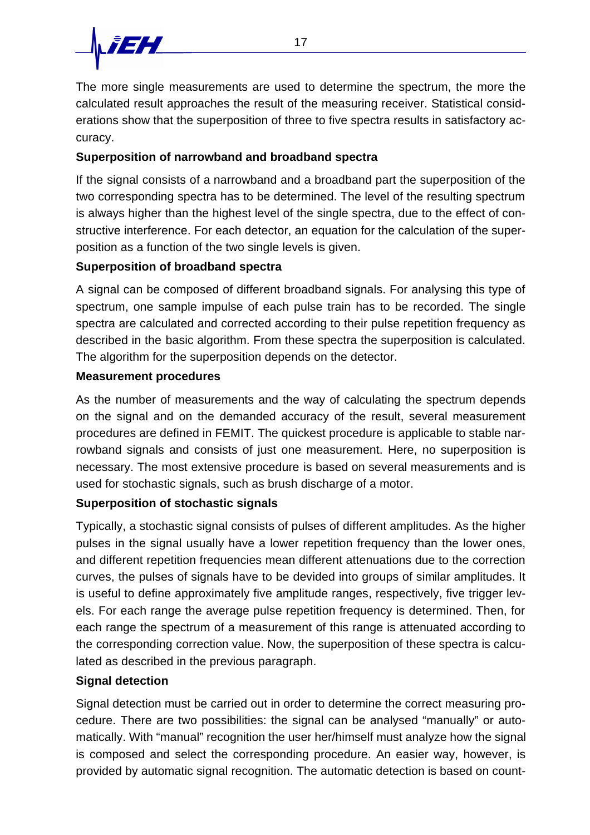

The more single measurements are used to determine the spectrum, the more the calculated result approaches the result of the measuring receiver. Statistical considerations show that the superposition of three to five spectra results in satisfactory accuracy.

# **Superposition of narrowband and broadband spectra**

If the signal consists of a narrowband and a broadband part the superposition of the two corresponding spectra has to be determined. The level of the resulting spectrum is always higher than the highest level of the single spectra, due to the effect of constructive interference. For each detector, an equation for the calculation of the superposition as a function of the two single levels is given.

# **Superposition of broadband spectra**

A signal can be composed of different broadband signals. For analysing this type of spectrum, one sample impulse of each pulse train has to be recorded. The single spectra are calculated and corrected according to their pulse repetition frequency as described in the basic algorithm. From these spectra the superposition is calculated. The algorithm for the superposition depends on the detector.

### **Measurement procedures**

As the number of measurements and the way of calculating the spectrum depends on the signal and on the demanded accuracy of the result, several measurement procedures are defined in FEMIT. The quickest procedure is applicable to stable narrowband signals and consists of just one measurement. Here, no superposition is necessary. The most extensive procedure is based on several measurements and is used for stochastic signals, such as brush discharge of a motor.

### **Superposition of stochastic signals**

Typically, a stochastic signal consists of pulses of different amplitudes. As the higher pulses in the signal usually have a lower repetition frequency than the lower ones, and different repetition frequencies mean different attenuations due to the correction curves, the pulses of signals have to be devided into groups of similar amplitudes. It is useful to define approximately five amplitude ranges, respectively, five trigger levels. For each range the average pulse repetition frequency is determined. Then, for each range the spectrum of a measurement of this range is attenuated according to the corresponding correction value. Now, the superposition of these spectra is calculated as described in the previous paragraph.

### **Signal detection**

Signal detection must be carried out in order to determine the correct measuring procedure. There are two possibilities: the signal can be analysed "manually" or automatically. With "manual" recognition the user her/himself must analyze how the signal is composed and select the corresponding procedure. An easier way, however, is provided by automatic signal recognition. The automatic detection is based on count-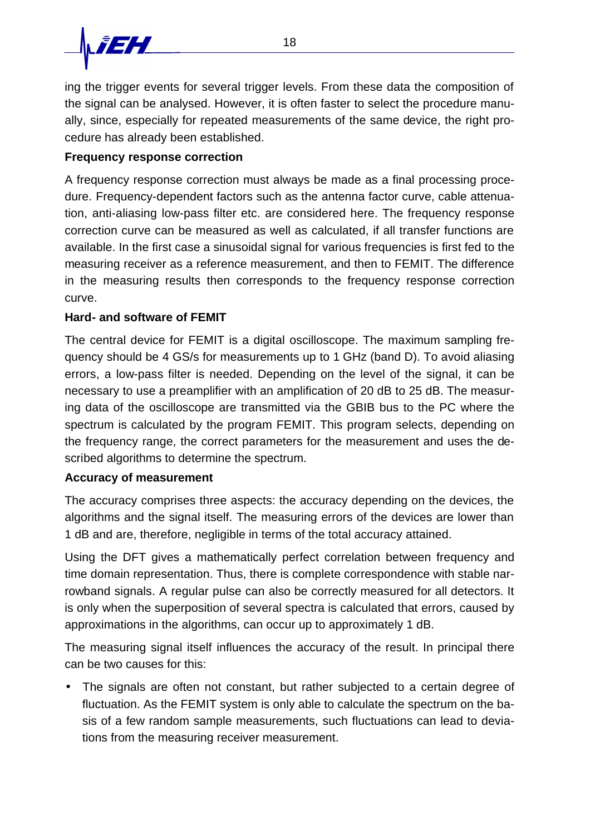ing the trigger events for several trigger levels. From these data the composition of the signal can be analysed. However, it is often faster to select the procedure manually, since, especially for repeated measurements of the same device, the right procedure has already been established.

# **Frequency response correction**

A frequency response correction must always be made as a final processing procedure. Frequency-dependent factors such as the antenna factor curve, cable attenuation, anti-aliasing low-pass filter etc. are considered here. The frequency response correction curve can be measured as well as calculated, if all transfer functions are available. In the first case a sinusoidal signal for various frequencies is first fed to the measuring receiver as a reference measurement, and then to FEMIT. The difference in the measuring results then corresponds to the frequency response correction curve.

# **Hard- and software of FEMIT**

The central device for FEMIT is a digital oscilloscope. The maximum sampling frequency should be 4 GS/s for measurements up to 1 GHz (band D). To avoid aliasing errors, a low-pass filter is needed. Depending on the level of the signal, it can be necessary to use a preamplifier with an amplification of 20 dB to 25 dB. The measuring data of the oscilloscope are transmitted via the GBIB bus to the PC where the spectrum is calculated by the program FEMIT. This program selects, depending on the frequency range, the correct parameters for the measurement and uses the described algorithms to determine the spectrum.

### **Accuracy of measurement**

The accuracy comprises three aspects: the accuracy depending on the devices, the algorithms and the signal itself. The measuring errors of the devices are lower than 1 dB and are, therefore, negligible in terms of the total accuracy attained.

Using the DFT gives a mathematically perfect correlation between frequency and time domain representation. Thus, there is complete correspondence with stable narrowband signals. A regular pulse can also be correctly measured for all detectors. It is only when the superposition of several spectra is calculated that errors, caused by approximations in the algorithms, can occur up to approximately 1 dB.

The measuring signal itself influences the accuracy of the result. In principal there can be two causes for this:

• The signals are often not constant, but rather subjected to a certain degree of fluctuation. As the FEMIT system is only able to calculate the spectrum on the basis of a few random sample measurements, such fluctuations can lead to deviations from the measuring receiver measurement.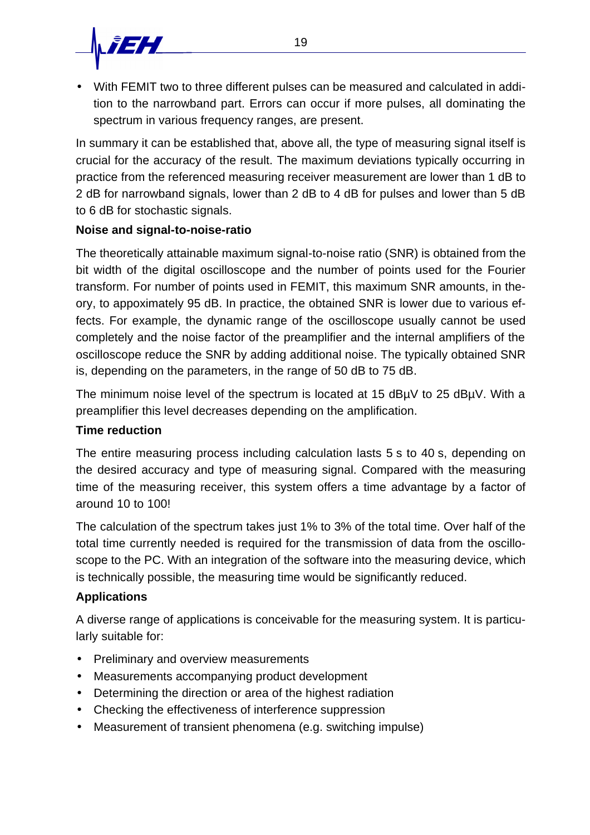

• With FEMIT two to three different pulses can be measured and calculated in addition to the narrowband part. Errors can occur if more pulses, all dominating the spectrum in various frequency ranges, are present.

In summary it can be established that, above all, the type of measuring signal itself is crucial for the accuracy of the result. The maximum deviations typically occurring in practice from the referenced measuring receiver measurement are lower than 1 dB to 2 dB for narrowband signals, lower than 2 dB to 4 dB for pulses and lower than 5 dB to 6 dB for stochastic signals.

### **Noise and signal-to-noise-ratio**

The theoretically attainable maximum signal-to-noise ratio (SNR) is obtained from the bit width of the digital oscilloscope and the number of points used for the Fourier transform. For number of points used in FEMIT, this maximum SNR amounts, in theory, to appoximately 95 dB. In practice, the obtained SNR is lower due to various effects. For example, the dynamic range of the oscilloscope usually cannot be used completely and the noise factor of the preamplifier and the internal amplifiers of the oscilloscope reduce the SNR by adding additional noise. The typically obtained SNR is, depending on the parameters, in the range of 50 dB to 75 dB.

The minimum noise level of the spectrum is located at 15 dBµV to 25 dBµV. With a preamplifier this level decreases depending on the amplification.

### **Time reduction**

The entire measuring process including calculation lasts 5 s to 40 s, depending on the desired accuracy and type of measuring signal. Compared with the measuring time of the measuring receiver, this system offers a time advantage by a factor of around 10 to 100!

The calculation of the spectrum takes just 1% to 3% of the total time. Over half of the total time currently needed is required for the transmission of data from the oscilloscope to the PC. With an integration of the software into the measuring device, which is technically possible, the measuring time would be significantly reduced.

# **Applications**

A diverse range of applications is conceivable for the measuring system. It is particularly suitable for:

- Preliminary and overview measurements
- Measurements accompanying product development
- Determining the direction or area of the highest radiation
- Checking the effectiveness of interference suppression
- Measurement of transient phenomena (e.g. switching impulse)